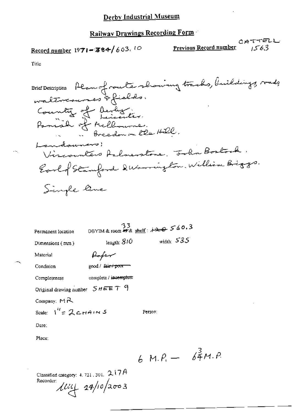Record number 1971-384/603.10

CATTELL Previous Record number  $1553$ 

Title

OBYIM & room # 8 shell:  $73$ Permanent location width:  $535$ length:  $\hat{S}1O$ Dimensions (mm) Paper Material good / fair / poor == Condition complete / incomplete Completeness Original drawing number  $S$   $H$   $E E T$   $9$ Company:  $M R$ Scale:  $1'' = 2$  CHAINS Person:

Date:

Place:

6 M. $P_4 - \frac{3}{64}M.P$ 

Classified category: 4, 721, 301,  $2.17A$  $\mu$ u 14/10/2003 Recorder: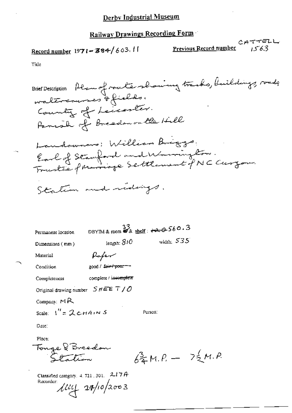Record number  $1971 - 384/603$ . 11

Previous Record number

Title

Brief Description Plan of route showing tracks, buildings, roads waltresures & fields. Country of Leicenter. Panish of Breadon on the Hill Landownars: William Briggs Earl of Stanford and Warrington.<br>Trustée principe Settlement pNC Curzon. Station and ridings. DBYIM & room  $\mathcal{Z}_{\&}$  shelf:  $\leftrightarrow$  3560.3 Permanent location width:  $535$ length: 810 Dimensions (mm) Paper Material good / fair / poor --Condition complete / incomplete Completeness Original drawing number  $S$   $HEE$   $T$  /  $O$ Company:  $MA$ Scale:  $I'' = \mathcal{L}CHAINS$ Person: Date: Place: Tonge & Breedon<br>Station  $62M.P. - 72M.P.$ Classified category,  $4.721,301, -2.17$   $A$ Recorder:  $\frac{1}{4}$   $\frac{1}{4}$   $\frac{1}{4}$   $\frac{1}{2}$   $\frac{1}{2}$   $\frac{1}{2}$   $\frac{1}{2}$   $\frac{1}{2}$   $\frac{1}{2}$   $\frac{1}{2}$   $\frac{1}{2}$   $\frac{1}{2}$   $\frac{1}{2}$   $\frac{1}{2}$   $\frac{1}{2}$   $\frac{1}{2}$   $\frac{1}{2}$   $\frac{1}{2}$   $\frac{1}{2}$   $\frac{1}{2}$   $\frac{1}{2}$   $\frac{1}{2}$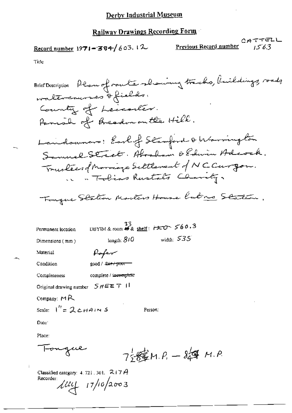Record number 1971-384/603.12

 $CHTTELL$ Previous Record number  $1563$ 

Title

| Brief Description Plan of route showing tracks, Kuildings, roads |
|------------------------------------------------------------------|
| waltercourses & fields.                                          |
| County of Leccenter.                                             |
| Fannal of Breadon on the Hill.                                   |
| Landswave: Earlof Stamford & Warrington                          |
| Samuel Street. Abraham & Edwin Adeock.                           |
| Trustees d'Inorrage Settlement d'NCCurgon.                       |
| in a Tobias Rustats Charity.                                     |
| Touque Station Monters House Rubres Station,                     |
| DBYIM & room # & shelf: $r \approx 0.3$<br>Permanent location    |
| width: $535$<br>length: $810$<br>Dimensions (mm)                 |
| Rofer<br>Material                                                |
| good / <del>.air / poor</del><br>Condition                       |
| complete / incomplete<br>Completeness                            |
| Original drawing number $S$ $H \# E T$                           |
| Company: $M R$                                                   |
| Scale: $1'' = 2$ cHAINS<br>Person:                               |
| Date:                                                            |
| Place:                                                           |
| Tongue<br>$7\frac{1}{2}8\frac{2}{3}M$ $R-8\frac{1}{4}M$ $R$      |

Classified category: 4, 721, 301,  $-2$ 17 $A$ Recorder  $\mu$  17/10/2003

÷,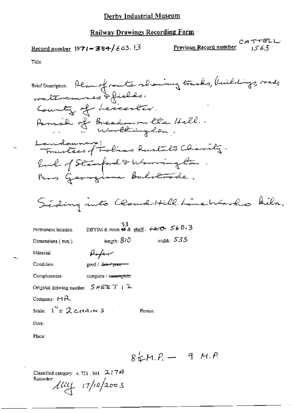Record number  $1971 - 384/603.13$ 

CATTELL<br>Previous Record number  $1522$ 

Title

-.

| Brief Description Plan of router showing tracks, buildings, roads |
|-------------------------------------------------------------------|
| waltercourses of fields.                                          |
| Country of Leccenter.                                             |
|                                                                   |
| Panish of Breedon on the Hell.                                    |
| Landonnars:<br>Traveless of Folias Rustalts Charity.              |
| Earl of Stamford & Warrington.                                    |
| Reas Georgiana Balstrode.                                         |
|                                                                   |
| Siding into Cloud Hill Line Works kiln.                           |
|                                                                   |
| DBYIM & room 柳象 shelf: <del>120</del> 560.3<br>Permanent location |
| width $535$<br>length: $810\,$<br>Dimensions (mm)                 |
| Rofer<br>Material                                                 |
| Condition<br>good / <del>fair / poor -</del>                      |
| complete / incomplete<br>Completeness                             |
| Original drawing number $S H E E T + 2$                           |
| Company: $M_{\rm B}$                                              |
| Scale: $1'' = 2$ cHAINS<br>Person:                                |
| Date:                                                             |
| Place:                                                            |

 $84M.P. - 9 M.P.$ 

Classified category: 4, 721, 301, 217A Recorder  $\mu = 17/10/2003$